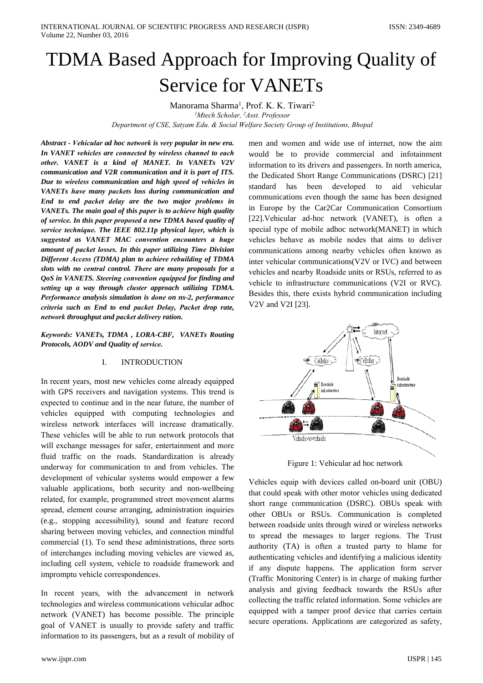# TDMA Based Approach for Improving Quality of **Service for VANETs**

Manorama Sharma<sup>1</sup>, Prof. K. K. Tiwari<sup>2</sup>

<sup>1</sup>Mtech Scholar, <sup>2</sup>Asst. Professor

Department of CSE, Satyam Edu. & Social Welfare Society Group of Institutions, Bhopal

Abstract - Vehicular ad hoc network is very popular in new era. In VANET vehicles are connected by wireless channel to each other. VANET is a kind of MANET. In VANETs V2V communication and V2R communication and it is part of ITS. Due to wireless communication and high speed of vehicles in VANETs have many packets loss during communication and End to end packet delay are the two major problems in VANETs. The main goal of this paper is to achieve high quality of service. In this paper proposed a new TDMA based quality of service technique. The IEEE 802.11p physical layer, which is suggested as VANET MAC convention encounters a huge amount of packet losses. In this paper utilizing Time Division Different Access (TDMA) plan to achieve rebuilding of TDMA slots with no central control. There are many proposals for a QoS in VANETS. Steering convention equipped for finding and setting up a way through cluster approach utilizing TDMA. Performance analysis simulation is done on ns-2, performance criteria such as End to end packet Delay, Packet drop rate, network throughput and packet delivery ration.

Keywords: VANETs, TDMA, LORA-CBF, VANETs Routing Protocols, AODV and Quality of service.

#### **INTRODUCTION**  $\mathbf{I}$

In recent years, most new vehicles come already equipped with GPS receivers and navigation systems. This trend is expected to continue and in the near future, the number of vehicles equipped with computing technologies and wireless network interfaces will increase dramatically. These vehicles will be able to run network protocols that will exchange messages for safer, entertainment and more fluid traffic on the roads. Standardization is already underway for communication to and from vehicles. The development of vehicular systems would empower a few valuable applications, both security and non-wellbeing related, for example, programmed street movement alarms spread, element course arranging, administration inquiries (e.g., stopping accessibility), sound and feature record sharing between moving vehicles, and connection mindful commercial (1). To send these administrations, three sorts of interchanges including moving vehicles are viewed as, including cell system, vehicle to roadside framework and impromptu vehicle correspondences.

In recent years, with the advancement in network technologies and wireless communications vehicular adhoc network (VANET) has become possible. The principle goal of VANET is usually to provide safety and traffic information to its passengers, but as a result of mobility of men and women and wide use of internet, now the aim would be to provide commercial and infotainment information to its drivers and passengers. In north america, the Dedicated Short Range Communications (DSRC) [21] has been developed to aid standard vehicular communications even though the same has been designed in Europe by the Car2Car Communication Consortium [22]. Vehicular ad-hoc network (VANET), is often a special type of mobile adhoc network (MANET) in which vehicles behave as mobile nodes that aims to deliver communications among nearby vehicles often known as inter vehicular communications(V2V or IVC) and between vehicles and nearby Roadside units or RSUs, referred to as vehicle to infrastructure communications (V2I or RVC). Besides this, there exists hybrid communication including V2V and V2I [23].



Figure 1: Vehicular ad hoc network

Vehicles equip with devices called on-board unit (OBU) that could speak with other motor vehicles using dedicated short range communication (DSRC). OBUs speak with other OBUs or RSUs. Communication is completed between roadside units through wired or wireless networks to spread the messages to larger regions. The Trust authority (TA) is often a trusted party to blame for authenticating vehicles and identifying a malicious identity if any dispute happens. The application form server (Traffic Monitoring Center) is in charge of making further analysis and giving feedback towards the RSUs after collecting the traffic related information. Some vehicles are equipped with a tamper proof device that carries certain secure operations. Applications are categorized as safety,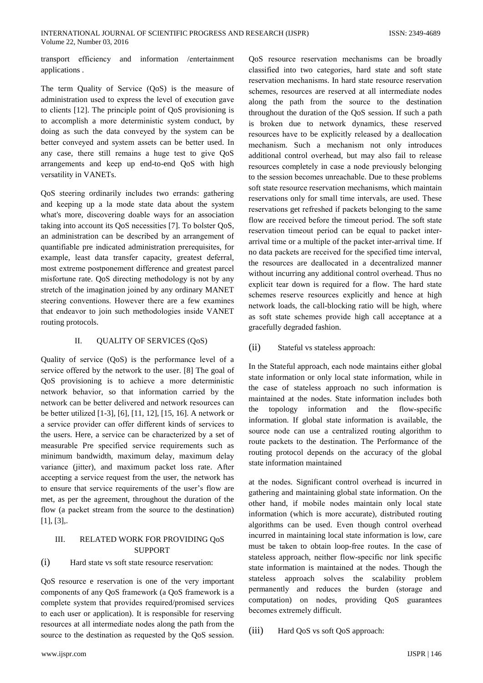transport efficiency and information /entertainment applications.

The term Quality of Service (QoS) is the measure of administration used to express the level of execution gave to clients [12]. The principle point of QoS provisioning is to accomplish a more deterministic system conduct, by doing as such the data conveyed by the system can be better conveyed and system assets can be better used. In any case, there still remains a huge test to give QoS arrangements and keep up end-to-end QoS with high versatility in VANETs.

OoS steering ordinarily includes two errands: gathering and keeping up a la mode state data about the system what's more, discovering doable ways for an association taking into account its QoS necessities [7]. To bolster QoS, an administration can be described by an arrangement of quantifiable pre indicated administration prerequisites, for example, least data transfer capacity, greatest deferral, most extreme postponement difference and greatest parcel misfortune rate. QoS directing methodology is not by any stretch of the imagination joined by any ordinary MANET steering conventions. However there are a few examines that endeavor to join such methodologies inside VANET routing protocols.

#### **QUALITY OF SERVICES (QoS)** Π.

Quality of service  $(QoS)$  is the performance level of a service offered by the network to the user. [8] The goal of QoS provisioning is to achieve a more deterministic network behavior, so that information carried by the network can be better delivered and network resources can be better utilized [1-3], [6], [11, 12], [15, 16]. A network or a service provider can offer different kinds of services to the users. Here, a service can be characterized by a set of measurable Pre specified service requirements such as minimum bandwidth, maximum delay, maximum delay variance (jitter), and maximum packet loss rate. After accepting a service request from the user, the network has to ensure that service requirements of the user's flow are met, as per the agreement, throughout the duration of the flow (a packet stream from the source to the destination)  $[11, 13]$ .

### $III.$ RELATED WORK FOR PROVIDING OoS **SUPPORT**

#### $(i)$ Hard state vs soft state resource reservation:

QoS resource e reservation is one of the very important components of any OoS framework (a OoS framework is a complete system that provides required/promised services to each user or application). It is responsible for reserving resources at all intermediate nodes along the path from the source to the destination as requested by the QoS session.

QoS resource reservation mechanisms can be broadly classified into two categories, hard state and soft state reservation mechanisms. In hard state resource reservation schemes, resources are reserved at all intermediate nodes along the path from the source to the destination throughout the duration of the OoS session. If such a path is broken due to network dynamics, these reserved resources have to be explicitly released by a deallocation mechanism. Such a mechanism not only introduces additional control overhead, but may also fail to release resources completely in case a node previously belonging to the session becomes unreachable. Due to these problems soft state resource reservation mechanisms, which maintain reservations only for small time intervals, are used. These reservations get refreshed if packets belonging to the same flow are received before the timeout period. The soft state reservation timeout period can be equal to packet interarrival time or a multiple of the packet inter-arrival time. If no data packets are received for the specified time interval, the resources are deallocated in a decentralized manner without incurring any additional control overhead. Thus no explicit tear down is required for a flow. The hard state schemes reserve resources explicitly and hence at high network loads, the call-blocking ratio will be high, where as soft state schemes provide high call acceptance at a gracefully degraded fashion.

 $(ii)$ Stateful vs stateless approach:

In the Stateful approach, each node maintains either global state information or only local state information, while in the case of stateless approach no such information is maintained at the nodes. State information includes both the topology information and the flow-specific information. If global state information is available, the source node can use a centralized routing algorithm to route packets to the destination. The Performance of the routing protocol depends on the accuracy of the global state information maintained

at the nodes. Significant control overhead is incurred in gathering and maintaining global state information. On the other hand, if mobile nodes maintain only local state information (which is more accurate), distributed routing algorithms can be used. Even though control overhead incurred in maintaining local state information is low, care must be taken to obtain loop-free routes. In the case of stateless approach, neither flow-specific nor link specific state information is maintained at the nodes. Though the stateless approach solves the scalability problem permanently and reduces the burden (storage and computation) on nodes, providing QoS guarantees becomes extremely difficult.

 $(iii)$ Hard QoS vs soft QoS approach: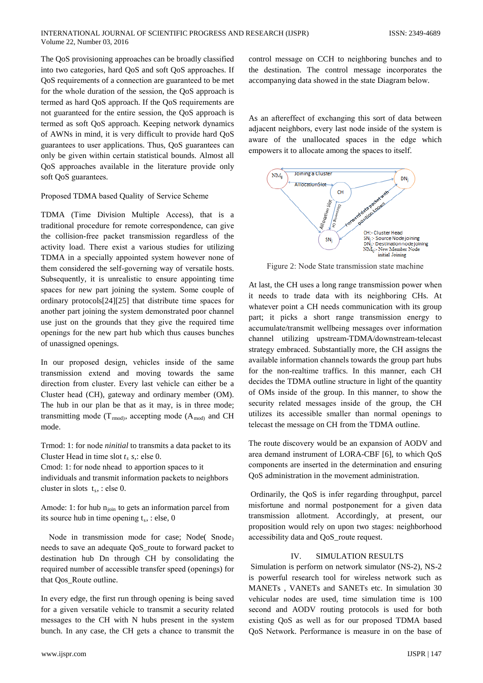The QoS provisioning approaches can be broadly classified into two categories, hard QoS and soft QoS approaches. If QoS requirements of a connection are guaranteed to be met for the whole duration of the session, the QoS approach is termed as hard QoS approach. If the QoS requirements are not guaranteed for the entire session, the OoS approach is termed as soft QoS approach. Keeping network dynamics of AWNs in mind, it is very difficult to provide hard OoS guarantees to user applications. Thus, QoS guarantees can only be given within certain statistical bounds. Almost all OoS approaches available in the literature provide only soft QoS guarantees.

Proposed TDMA based Ouality of Service Scheme

TDMA (Time Division Multiple Access), that is a traditional procedure for remote correspondence, can give the collision-free packet transmission regardless of the activity load. There exist a various studies for utilizing TDMA in a specially appointed system however none of them considered the self-governing way of versatile hosts. Subsequently, it is unrealistic to ensure appointing time spaces for new part joining the system. Some couple of ordinary protocols<sup>[24]</sup>[25] that distribute time spaces for another part joining the system demonstrated poor channel use just on the grounds that they give the required time openings for the new part hub which thus causes bunches of unassigned openings.

In our proposed design, vehicles inside of the same transmission extend and moving towards the same direction from cluster. Every last vehicle can either be a Cluster head (CH), gateway and ordinary member (OM). The hub in our plan be that as it may, is in three mode; transmitting mode ( $T_{\text{rmod}}$ ), accepting mode ( $A_{\text{mod}}$ ) and CH mode.

Trmod: 1: for node *ninitial* to transmits a data packet to its Cluster Head in time slot  $t_s$  s,: else 0.

Cmod: 1: for node nhead to apportion spaces to it

individuals and transmit information packets to neighbors cluster in slots  $t_s$ , : else 0.

Amode: 1: for hub  $n_{\text{join}}$  to gets an information parcel from its source hub in time opening  $t_s$ , : else, 0

Node in transmission mode for case; Node(Snode) needs to save an adequate OoS route to forward packet to destination hub Dn through CH by consolidating the required number of accessible transfer speed (openings) for that Qos\_Route outline.

In every edge, the first run through opening is being saved for a given versatile vehicle to transmit a security related messages to the CH with N hubs present in the system bunch. In any case, the CH gets a chance to transmit the

www.ijspr.com

control message on CCH to neighboring bunches and to the destination. The control message incorporates the accompanying data showed in the state Diagram below.

As an aftereffect of exchanging this sort of data between adjacent neighbors, every last node inside of the system is aware of the unallocated spaces in the edge which empowers it to allocate among the spaces to itself.



Figure 2: Node State transmission state machine

At last, the CH uses a long range transmission power when it needs to trade data with its neighboring CHs. At whatever point a CH needs communication with its group part; it picks a short range transmission energy to accumulate/transmit wellbeing messages over information channel utilizing upstream-TDMA/downstream-telecast strategy embraced. Substantially more, the CH assigns the available information channels towards the group part hubs for the non-realtime traffics. In this manner, each CH decides the TDMA outline structure in light of the quantity of OMs inside of the group. In this manner, to show the security related messages inside of the group, the CH utilizes its accessible smaller than normal openings to telecast the message on CH from the TDMA outline.

The route discovery would be an expansion of AODV and area demand instrument of LORA-CBF [6], to which QoS components are inserted in the determination and ensuring OoS administration in the movement administration.

Ordinarily, the OoS is infer regarding throughput, parcel misfortune and normal postponement for a given data transmission allotment. Accordingly, at present, our proposition would rely on upon two stages: neighborhood accessibility data and OoS route request.

#### **IV SIMULATION RESULTS**

Simulation is perform on network simulator (NS-2), NS-2 is powerful research tool for wireless network such as MANETs, VANETs and SANETs etc. In simulation 30 vehicular nodes are used, time simulation time is 100 second and AODV routing protocols is used for both existing QoS as well as for our proposed TDMA based QoS Network. Performance is measure in on the base of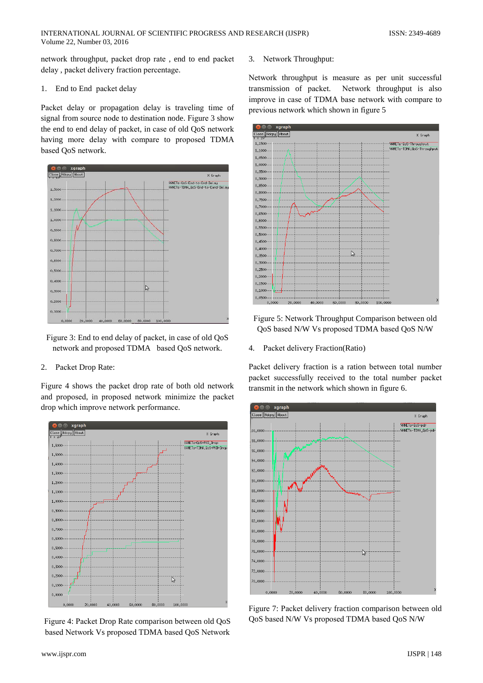network throughput, packet drop rate, end to end packet delay, packet delivery fraction percentage.

#### End to End packet delay 1.

Packet delay or propagation delay is traveling time of signal from source node to destination node. Figure 3 show the end to end delay of packet, in case of old QoS network having more delay with compare to proposed TDMA based QoS network.



Figure 3: End to end delay of packet, in case of old QoS network and proposed TDMA based QoS network.

## 2. Packet Drop Rate:

Figure 4 shows the packet drop rate of both old network and proposed, in proposed network minimize the packet drop which improve network performance.



Figure 4: Packet Drop Rate comparison between old QoS based Network Vs proposed TDMA based QoS Network

3. Network Throughput:

Network throughput is measure as per unit successful transmission of packet. Network throughput is also improve in case of TDMA base network with compare to previous network which shown in figure 5



- Figure 5: Network Throughput Comparison between old QoS based N/W Vs proposed TDMA based QoS N/W
- 4. Packet delivery Fraction (Ratio)

Packet delivery fraction is a ration between total number packet successfully received to the total number packet transmit in the network which shown in figure 6.



Figure 7: Packet delivery fraction comparison between old QoS based N/W Vs proposed TDMA based QoS N/W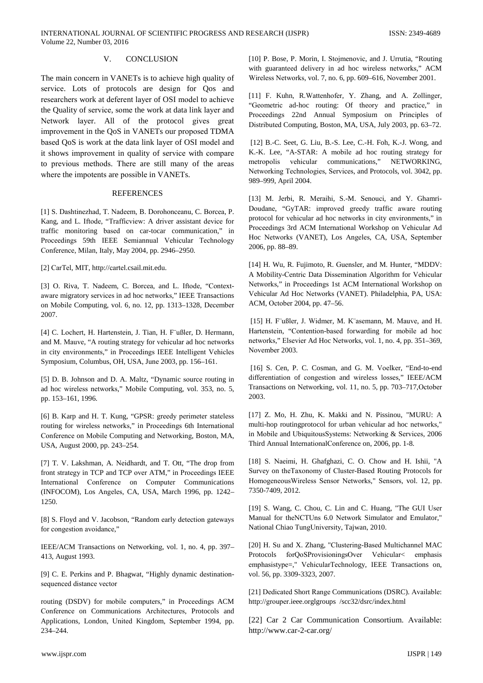#### $V_{\cdot}$ **CONCLUSION**

The main concern in VANETs is to achieve high quality of service. Lots of protocols are design for Qos and researchers work at deferent layer of OSI model to achieve the Quality of service, some the work at data link layer and Network layer. All of the protocol gives great improvement in the QoS in VANETs our proposed TDMA based QoS is work at the data link layer of OSI model and it shows improvement in quality of service with compare to previous methods. There are still many of the areas where the impotents are possible in VANETs.

## **REFERENCES**

[1] S. Dashtinezhad, T. Nadeem, B. Dorohonceanu, C. Borcea, P. Kang, and L. Iftode, "Trafficview: A driver assistant device for traffic monitoring based on car-tocar communication," in Proceedings 59th IEEE Semiannual Vehicular Technology Conference, Milan, Italy, May 2004, pp. 2946-2950.

[2] CarTel, MIT, http://cartel.csail.mit.edu.

[3] O. Riva, T. Nadeem, C. Borcea, and L. Iftode, "Contextaware migratory services in ad hoc networks," IEEE Transactions on Mobile Computing, vol. 6, no. 12, pp. 1313-1328, December 2007.

[4] C. Lochert, H. Hartenstein, J. Tian, H. F'ußler, D. Hermann, and M. Mauve, "A routing strategy for vehicular ad hoc networks in city environments," in Proceedings IEEE Intelligent Vehicles Symposium, Columbus, OH, USA, June 2003, pp. 156–161.

[5] D. B. Johnson and D. A. Maltz, "Dynamic source routing in ad hoc wireless networks," Mobile Computing, vol. 353, no. 5, pp. 153-161, 1996.

[6] B. Karp and H. T. Kung, "GPSR: greedy perimeter stateless routing for wireless networks," in Proceedings 6th International Conference on Mobile Computing and Networking, Boston, MA, USA, August 2000, pp. 243-254.

[7] T. V. Lakshman, A. Neidhardt, and T. Ott, "The drop from front strategy in TCP and TCP over ATM," in Proceedings IEEE International Conference on Computer Communications (INFOCOM), Los Angeles, CA, USA, March 1996, pp. 1242-1250.

[8] S. Floyd and V. Jacobson, "Random early detection gateways for congestion avoidance,"

IEEE/ACM Transactions on Networking, vol. 1, no. 4, pp. 397-413, August 1993.

[9] C. E. Perkins and P. Bhagwat, "Highly dynamic destinationsequenced distance vector

routing (DSDV) for mobile computers," in Proceedings ACM Conference on Communications Architectures, Protocols and Applications, London, United Kingdom, September 1994, pp. 234-244.

[10] P. Bose, P. Morin, I. Stojmenovic, and J. Urrutia, "Routing with guaranteed delivery in ad hoc wireless networks," ACM Wireless Networks, vol. 7, no. 6, pp. 609–616, November 2001.

[11] F. Kuhn, R.Wattenhofer, Y. Zhang, and A. Zollinger, "Geometric ad-hoc routing: Of theory and practice," in Proceedings 22nd Annual Symposium on Principles of Distributed Computing, Boston, MA, USA, July 2003, pp. 63-72.

[12] B.-C. Seet, G. Liu, B.-S. Lee, C.-H. Foh, K.-J. Wong, and K.-K. Lee, "A-STAR: A mobile ad hoc routing strategy for metropolis vehicular communications," NETWORKING, Networking Technologies, Services, and Protocols, vol. 3042, pp. 989-999, April 2004.

[13] M. Jerbi, R. Meraihi, S.-M. Senouci, and Y. Ghamri-Doudane, "GyTAR: improved greedy traffic aware routing protocol for vehicular ad hoc networks in city environments," in Proceedings 3rd ACM International Workshop on Vehicular Ad Hoc Networks (VANET), Los Angeles, CA, USA, September 2006, pp. 88-89.

[14] H. Wu, R. Fujimoto, R. Guensler, and M. Hunter, "MDDV: A Mobility-Centric Data Dissemination Algorithm for Vehicular Networks," in Proceedings 1st ACM International Workshop on Vehicular Ad Hoc Networks (VANET). Philadelphia, PA, USA: ACM, October 2004, pp. 47-56.

[15] H. F ußler, J. Widmer, M. K asemann, M. Mauve, and H. Hartenstein, "Contention-based forwarding for mobile ad hoc networks," Elsevier Ad Hoc Networks, vol. 1, no. 4, pp. 351-369, November 2003.

[16] S. Cen, P. C. Cosman, and G. M. Voelker, "End-to-end differentiation of congestion and wireless losses," IEEE/ACM Transactions on Networking, vol. 11, no. 5, pp. 703-717, October 2003.

[17] Z. Mo, H. Zhu, K. Makki and N. Pissinou, "MURU: A multi-hop routingprotocol for urban vehicular ad hoc networks," in Mobile and UbiquitousSystems: Networking & Services, 2006 Third Annual InternationalConference on, 2006, pp. 1-8.

[18] S. Naeimi, H. Ghafghazi, C. O. Chow and H. Ishii, "A Survey on the Taxonomy of Cluster-Based Routing Protocols for Homogeneous Wireless Sensor Networks," Sensors, vol. 12, pp. 7350-7409, 2012.

[19] S. Wang, C. Chou, C. Lin and C. Huang, "The GUI User Manual for theNCTUns 6.0 Network Simulator and Emulator," National Chiao TungUniversity, Tajwan, 2010.

[20] H. Su and X. Zhang, "Clustering-Based Multichannel MAC Protocols forQoSProvisioningsOver Vehicular< emphasis emphasistype=," VehicularTechnology, IEEE Transactions on, vol. 56, pp. 3309-3323, 2007.

[21] Dedicated Short Range Communications (DSRC). Available: http://grouper.ieee.orglgroups /scc32/dsrc/index.html

[22] Car 2 Car Communication Consortium. Available: http://www.car-2-car.org/